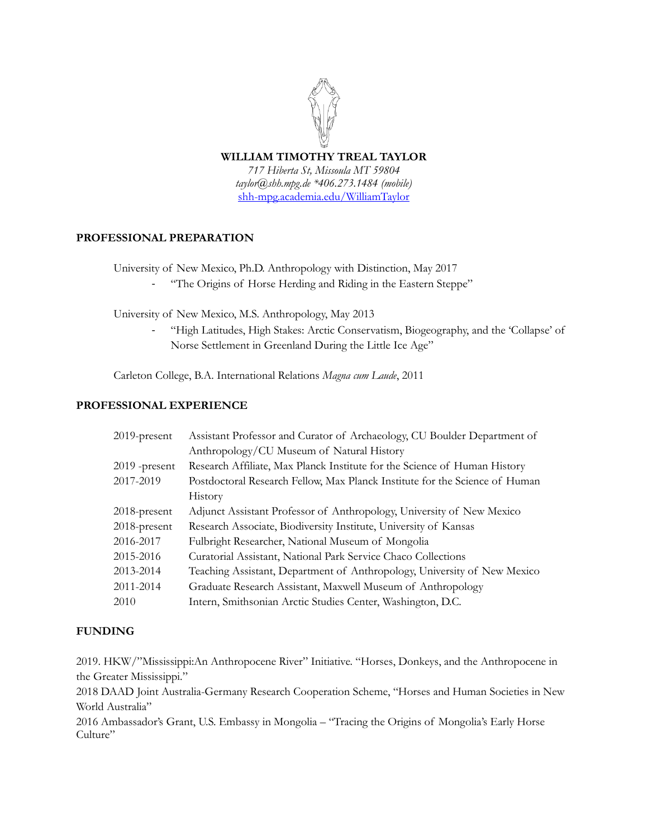# **WILLIAM TIMOTHY TREAL TAYLOR**

*717 Hiberta St, Missoula MT 59804 taylor@shh.mpg.de \*406.273.1484 (mobile)* [shh-mpg.academia.edu/WilliamTaylor](https://shh-mpg.academia.edu/WilliamTaylor)

# **PROFESSIONAL PREPARATION**

University of New Mexico, Ph.D. Anthropology with Distinction, May 2017

- "The Origins of Horse Herding and Riding in the Eastern Steppe"

University of New Mexico, M.S. Anthropology, May 2013

"High Latitudes, High Stakes: Arctic Conservatism, Biogeography, and the 'Collapse' of Norse Settlement in Greenland During the Little Ice Age"

Carleton College, B.A. International Relations *Magna cum Laude*, 2011

#### **PROFESSIONAL EXPERIENCE**

| $2019$ -present | Assistant Professor and Curator of Archaeology, CU Boulder Department of    |
|-----------------|-----------------------------------------------------------------------------|
|                 | Anthropology/CU Museum of Natural History                                   |
| $2019$ -present | Research Affiliate, Max Planck Institute for the Science of Human History   |
| 2017-2019       | Postdoctoral Research Fellow, Max Planck Institute for the Science of Human |
|                 | History                                                                     |
| $2018$ -present | Adjunct Assistant Professor of Anthropology, University of New Mexico       |
| 2018-present    | Research Associate, Biodiversity Institute, University of Kansas            |
| 2016-2017       | Fulbright Researcher, National Museum of Mongolia                           |
| 2015-2016       | Curatorial Assistant, National Park Service Chaco Collections               |
| 2013-2014       | Teaching Assistant, Department of Anthropology, University of New Mexico    |
| 2011-2014       | Graduate Research Assistant, Maxwell Museum of Anthropology                 |
| 2010            | Intern, Smithsonian Arctic Studies Center, Washington, D.C.                 |

## **FUNDING**

2019. HKW/"Mississippi:An Anthropocene River" Initiative. "Horses, Donkeys, and the Anthropocene in the Greater Mississippi."

2018 DAAD Joint Australia-Germany Research Cooperation Scheme, "Horses and Human Societies in New World Australia"

2016 Ambassador's Grant, U.S. Embassy in Mongolia – "Tracing the Origins of Mongolia's Early Horse Culture"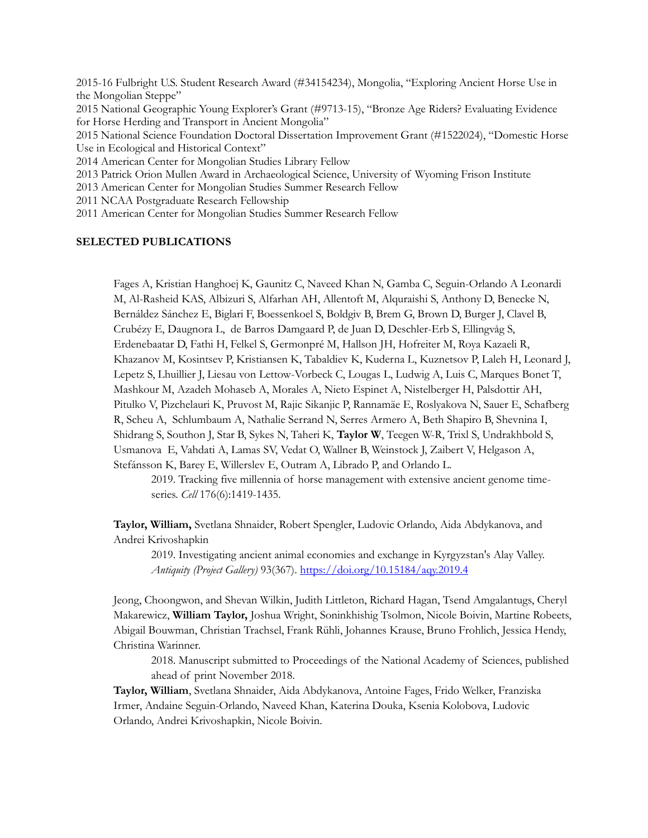2015-16 Fulbright U.S. Student Research Award (#34154234), Mongolia, "Exploring Ancient Horse Use in the Mongolian Steppe" 2015 National Geographic Young Explorer's Grant (#9713-15), "Bronze Age Riders? Evaluating Evidence for Horse Herding and Transport in Ancient Mongolia" 2015 National Science Foundation Doctoral Dissertation Improvement Grant (#1522024), "Domestic Horse Use in Ecological and Historical Context" 2014 American Center for Mongolian Studies Library Fellow 2013 Patrick Orion Mullen Award in Archaeological Science, University of Wyoming Frison Institute

2013 American Center for Mongolian Studies Summer Research Fellow

2011 NCAA Postgraduate Research Fellowship

2011 American Center for Mongolian Studies Summer Research Fellow

#### **SELECTED PUBLICATIONS**

Fages A, Kristian Hanghoej K, Gaunitz C, Naveed Khan N, Gamba C, Seguin-Orlando A Leonardi M, Al-Rasheid KAS, Albizuri S, Alfarhan AH, Allentoft M, Alquraishi S, Anthony D, Benecke N, Bernáldez Sánchez E, Biglari F, Boessenkoel S, Boldgiv B, Brem G, Brown D, Burger J, Clavel B, Crubézy E, Daugnora L, de Barros Damgaard P, de Juan D, Deschler-Erb S, Ellingvåg S, Erdenebaatar D, Fathi H, Felkel S, Germonpré M, Hallson JH, Hofreiter M, Roya Kazaeli R, Khazanov M, Kosintsev P, Kristiansen K, Tabaldiev K, Kuderna L, Kuznetsov P, Laleh H, Leonard J, Lepetz S, Lhuillier J, Liesau von Lettow-Vorbeck C, Lougas L, Ludwig A, Luis C, Marques Bonet T, Mashkour M, Azadeh Mohaseb A, Morales A, Nieto Espinet A, Nistelberger H, Palsdottir AH, Pitulko V, Pizchelauri K, Pruvost M, Rajic Sikanjic P, Rannamäe E, Roslyakova N, Sauer E, Schafberg R, Scheu A, Schlumbaum A, Nathalie Serrand N, Serres Armero A, Beth Shapiro B, Shevnina I, Shidrang S, Southon J, Star B, Sykes N, Taheri K, **Taylor W**, Teegen W-R, Trixl S, Undrakhbold S, Usmanova E, Vahdati A, Lamas SV, Vedat O, Wallner B, Weinstock J, Zaibert V, Helgason A, Stefánsson K, Barey E, Willerslev E, Outram A, Librado P, and Orlando L.

2019. Tracking five millennia of horse management with extensive ancient genome timeseries. *Cell* 176(6):1419-1435.

**Taylor, William,** Svetlana Shnaider, Robert Spengler, Ludovic Orlando, Aida Abdykanova, and Andrei Krivoshapkin

2019. Investigating ancient animal economies and exchange in Kyrgyzstan's Alay Valley. *Antiquity (Project Gallery)* 93(367).<https://doi.org/10.15184/aqy.2019.4>

Jeong, Choongwon, and Shevan Wilkin, Judith Littleton, Richard Hagan, Tsend Amgalantugs, Cheryl Makarewicz, **William Taylor,** Joshua Wright, Soninkhishig Tsolmon, Nicole Boivin, Martine Robeets, Abigail Bouwman, Christian Trachsel, Frank Rühli, Johannes Krause, Bruno Frohlich, Jessica Hendy, Christina Warinner.

2018. Manuscript submitted to Proceedings of the National Academy of Sciences, published ahead of print November 2018.

**Taylor, William**, Svetlana Shnaider, Aida Abdykanova, Antoine Fages, Frido Welker, Franziska Irmer, Andaine Seguin-Orlando, Naveed Khan, Katerina Douka, Ksenia Kolobova, Ludovic Orlando, Andrei Krivoshapkin, Nicole Boivin.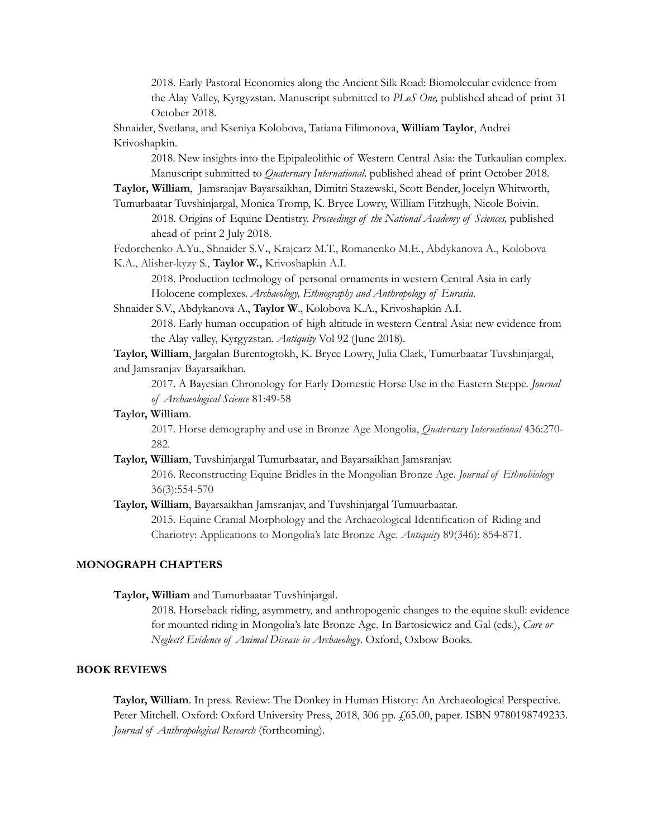2018. Early Pastoral Economies along the Ancient Silk Road: Biomolecular evidence from the Alay Valley, Kyrgyzstan. Manuscript submitted to *PLoS One,* published ahead of print 31 October 2018.

Shnaider, Svetlana, and Kseniya Kolobova, Tatiana Filimonova, **William Taylor**, Andrei Krivoshapkin.

2018. New insights into the Epipaleolithic of Western Central Asia: the Tutkaulian complex. Manuscript submitted to *Quaternary International,* published ahead of print October 2018.

**Taylor, William**, Jamsranjav Bayarsaikhan, Dimitri Stazewski, Scott Bender,Jocelyn Whitworth, Tumurbaatar Tuvshinjargal, Monica Tromp, K. Bryce Lowry, William Fitzhugh, Nicole Boivin.

2018. Origins of Equine Dentistry. *Proceedings of the National Academy of Sciences,* published ahead of print 2 July 2018.

Fedorchenko A.Yu., Shnaider S.V**.**, Krajcarz M.T., Romanenko M.E., Abdykanova A., Kolobova K.A., Alisher-kyzy S., **Taylor W.,** Krivoshapkin A.I.

2018. Production technology of personal ornaments in western Central Asia in early Holocene complexes. *Archaeology, Ethnography and Anthropology of Eurasia.*

Shnaider S.V., Abdykanova A., **Taylor W**., Kolobova K.A., Krivoshapkin A.I. 2018. Early human occupation of high altitude in western Central Asia: new evidence from the Alay valley, Kyrgyzstan. *Antiquity* Vol 92 (June 2018).

**Taylor, William**, Jargalan Burentogtokh, K. Bryce Lowry, Julia Clark, Tumurbaatar Tuvshinjargal, and Jamsranjav Bayarsaikhan.

2017. A Bayesian Chronology for Early Domestic Horse Use in the Eastern Steppe. *Journal of Archaeological Science* 81:49-58

**Taylor, William**.

2017. Horse demography and use in Bronze Age Mongolia, *Quaternary International* 436:270- 282.

- **Taylor, William**, Tuvshinjargal Tumurbaatar, and Bayarsaikhan Jamsranjav. 2016. Reconstructing Equine Bridles in the Mongolian Bronze Age. *Journal of Ethnobiology* 36(3):554-570
- **Taylor, William**, Bayarsaikhan Jamsranjav, and Tuvshinjargal Tumuurbaatar. 2015. Equine Cranial Morphology and the Archaeological Identification of Riding and Chariotry: Applications to Mongolia's late Bronze Age. *Antiquity* 89(346): 854-871.

#### **MONOGRAPH CHAPTERS**

**Taylor, William** and Tumurbaatar Tuvshinjargal.

2018. Horseback riding, asymmetry, and anthropogenic changes to the equine skull: evidence for mounted riding in Mongolia's late Bronze Age. In Bartosiewicz and Gal (eds.), *Care or Neglect? Evidence of Animal Disease in Archaeology*. Oxford, Oxbow Books.

#### **BOOK REVIEWS**

**Taylor, William**. In press. Review: The Donkey in Human History: An Archaeological Perspective. Peter Mitchell. Oxford: Oxford University Press, 2018, 306 pp. £65.00, paper. ISBN 9780198749233. *Journal of Anthropological Research* (forthcoming).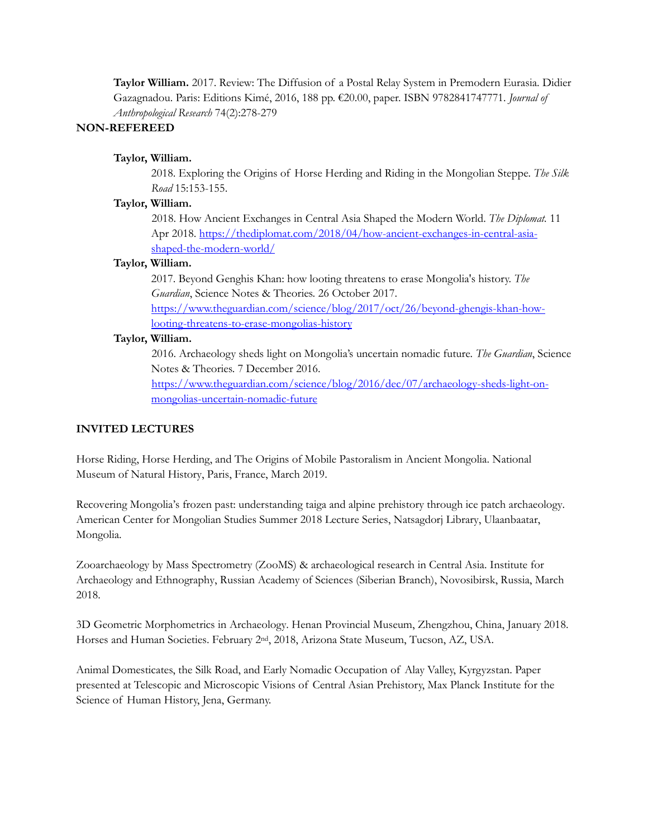**Taylor William.** 2017. Review: The Diffusion of a Postal Relay System in Premodern Eurasia. Didier Gazagnadou. Paris: Editions Kimé, 2016, 188 pp. €20.00, paper. ISBN 9782841747771. *Journal of Anthropological Research* 74(2):278-279

# **NON-REFEREED**

### **Taylor, William.**

2018. Exploring the Origins of Horse Herding and Riding in the Mongolian Steppe. *The Silk Road* 15:153-155.

### **Taylor, William.**

2018. How Ancient Exchanges in Central Asia Shaped the Modern World. *The Diplomat.* 11 Apr 2018. [https://thediplomat.com/2018/04/how-ancient-exchanges-in-central-asia](https://thediplomat.com/2018/04/how-ancient-exchanges-in-central-asia-shaped-the-modern-world/)[shaped-the-modern-world/](https://thediplomat.com/2018/04/how-ancient-exchanges-in-central-asia-shaped-the-modern-world/)

# **Taylor, William.**

2017. Beyond Genghis Khan: how looting threatens to erase Mongolia's history. *The Guardian*, Science Notes & Theories. 26 October 2017.

[https://www.theguardian.com/science/blog/2017/oct/26/beyond-ghengis-khan-how](https://www.theguardian.com/science/blog/2017/oct/26/beyond-ghengis-khan-how-looting-threatens-to-erase-mongolias-history)[looting-threatens-to-erase-mongolias-history](https://www.theguardian.com/science/blog/2017/oct/26/beyond-ghengis-khan-how-looting-threatens-to-erase-mongolias-history)

### **Taylor, William.**

2016. Archaeology sheds light on Mongolia's uncertain nomadic future. *The Guardian*, Science Notes & Theories. 7 December 2016.

[https://www.theguardian.com/science/blog/2016/dec/07/archaeology-sheds-light-on](https://www.theguardian.com/science/blog/2016/dec/07/archaeology-sheds-light-on-mongolias-uncertain-nomadic-future)[mongolias-uncertain-nomadic-future](https://www.theguardian.com/science/blog/2016/dec/07/archaeology-sheds-light-on-mongolias-uncertain-nomadic-future)

## **INVITED LECTURES**

Horse Riding, Horse Herding, and The Origins of Mobile Pastoralism in Ancient Mongolia. National Museum of Natural History, Paris, France, March 2019.

Recovering Mongolia's frozen past: understanding taiga and alpine prehistory through ice patch archaeology. American Center for Mongolian Studies Summer 2018 Lecture Series, Natsagdorj Library, Ulaanbaatar, Mongolia.

Zooarchaeology by Mass Spectrometry (ZooMS) & archaeological research in Central Asia. Institute for Archaeology and Ethnography, Russian Academy of Sciences (Siberian Branch), Novosibirsk, Russia, March 2018.

3D Geometric Morphometrics in Archaeology. Henan Provincial Museum, Zhengzhou, China, January 2018. Horses and Human Societies. February 2nd, 2018, Arizona State Museum, Tucson, AZ, USA.

Animal Domesticates, the Silk Road, and Early Nomadic Occupation of Alay Valley, Kyrgyzstan. Paper presented at Telescopic and Microscopic Visions of Central Asian Prehistory, Max Planck Institute for the Science of Human History, Jena, Germany.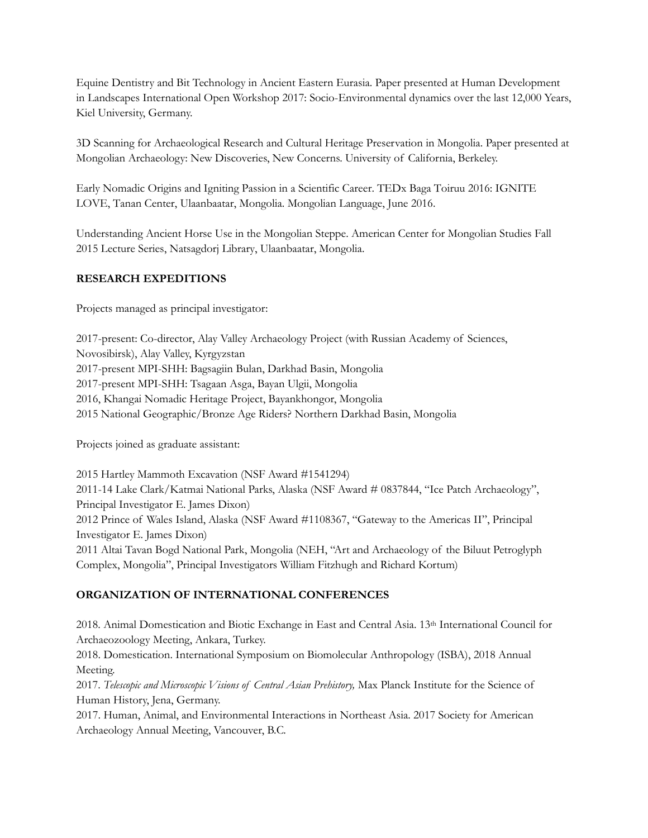Equine Dentistry and Bit Technology in Ancient Eastern Eurasia. Paper presented at Human Development in Landscapes International Open Workshop 2017: Socio-Environmental dynamics over the last 12,000 Years, Kiel University, Germany.

3D Scanning for Archaeological Research and Cultural Heritage Preservation in Mongolia. Paper presented at Mongolian Archaeology: New Discoveries, New Concerns. University of California, Berkeley.

Early Nomadic Origins and Igniting Passion in a Scientific Career. TEDx Baga Toiruu 2016: IGNITE LOVE, Tanan Center, Ulaanbaatar, Mongolia. Mongolian Language, June 2016.

Understanding Ancient Horse Use in the Mongolian Steppe. American Center for Mongolian Studies Fall 2015 Lecture Series, Natsagdorj Library, Ulaanbaatar, Mongolia.

# **RESEARCH EXPEDITIONS**

Projects managed as principal investigator:

2017-present: Co-director, Alay Valley Archaeology Project (with Russian Academy of Sciences, Novosibirsk), Alay Valley, Kyrgyzstan 2017-present MPI-SHH: Bagsagiin Bulan, Darkhad Basin, Mongolia 2017-present MPI-SHH: Tsagaan Asga, Bayan Ulgii, Mongolia 2016, Khangai Nomadic Heritage Project, Bayankhongor, Mongolia 2015 National Geographic/Bronze Age Riders? Northern Darkhad Basin, Mongolia

Projects joined as graduate assistant:

2015 Hartley Mammoth Excavation (NSF Award #1541294) 2011-14 Lake Clark/Katmai National Parks, Alaska (NSF Award # 0837844, "Ice Patch Archaeology", Principal Investigator E. James Dixon) 2012 Prince of Wales Island, Alaska (NSF Award #1108367, "Gateway to the Americas II", Principal Investigator E. James Dixon) 2011 Altai Tavan Bogd National Park, Mongolia (NEH, "Art and Archaeology of the Biluut Petroglyph Complex, Mongolia", Principal Investigators William Fitzhugh and Richard Kortum)

# **ORGANIZATION OF INTERNATIONAL CONFERENCES**

2018. Animal Domestication and Biotic Exchange in East and Central Asia. 13th International Council for Archaeozoology Meeting, Ankara, Turkey.

2018. Domestication. International Symposium on Biomolecular Anthropology (ISBA), 2018 Annual Meeting.

2017. *Telescopic and Microscopic Visions of Central Asian Prehistory,* Max Planck Institute for the Science of Human History, Jena, Germany.

2017. Human, Animal, and Environmental Interactions in Northeast Asia. 2017 Society for American Archaeology Annual Meeting, Vancouver, B.C.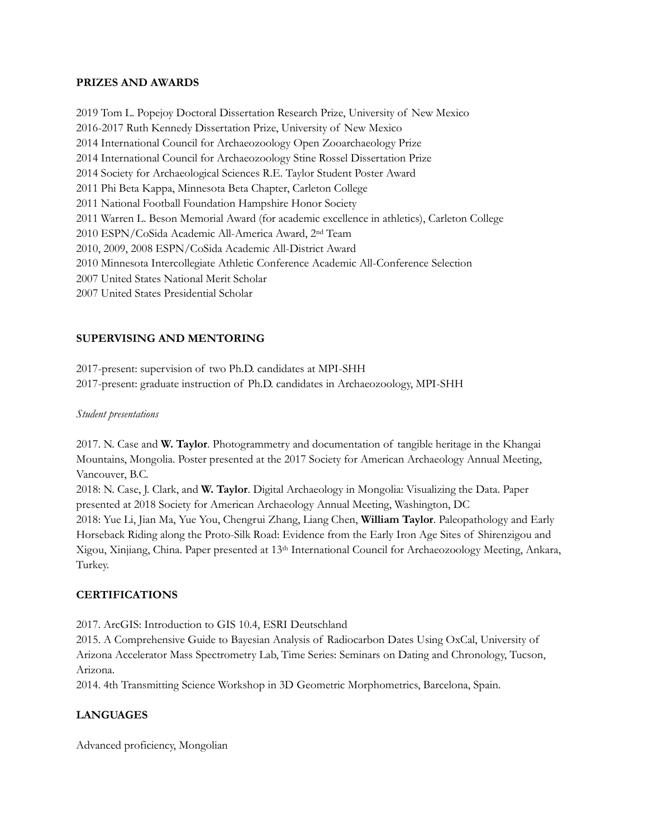#### **PRIZES AND AWARDS**

2019 Tom L. Popejoy Doctoral Dissertation Research Prize, University of New Mexico 2016-2017 Ruth Kennedy Dissertation Prize, University of New Mexico 2014 International Council for Archaeozoology Open Zooarchaeology Prize 2014 International Council for Archaeozoology Stine Rossel Dissertation Prize 2014 Society for Archaeological Sciences R.E. Taylor Student Poster Award 2011 Phi Beta Kappa, Minnesota Beta Chapter, Carleton College 2011 National Football Foundation Hampshire Honor Society 2011 Warren L. Beson Memorial Award (for academic excellence in athletics), Carleton College 2010 ESPN/CoSida Academic All-America Award, 2nd Team 2010, 2009, 2008 ESPN/CoSida Academic All-District Award 2010 Minnesota Intercollegiate Athletic Conference Academic All-Conference Selection 2007 United States National Merit Scholar 2007 United States Presidential Scholar

# **SUPERVISING AND MENTORING**

2017-present: supervision of two Ph.D. candidates at MPI-SHH 2017-present: graduate instruction of Ph.D. candidates in Archaeozoology, MPI-SHH

#### *Student presentations*

2017. N. Case and **W. Taylor**. Photogrammetry and documentation of tangible heritage in the Khangai Mountains, Mongolia. Poster presented at the 2017 Society for American Archaeology Annual Meeting, Vancouver, B.C.

2018: N. Case, J. Clark, and **W. Taylor**. Digital Archaeology in Mongolia: Visualizing the Data. Paper presented at 2018 Society for American Archaeology Annual Meeting, Washington, DC 2018: Yue Li, Jian Ma, Yue You, Chengrui Zhang, Liang Chen, **William Taylor**. Paleopathology and Early

Horseback Riding along the Proto-Silk Road: Evidence from the Early Iron Age Sites of Shirenzigou and Xigou, Xinjiang, China. Paper presented at 13th International Council for Archaeozoology Meeting, Ankara, Turkey.

## **CERTIFICATIONS**

2017. ArcGIS: Introduction to GIS 10.4, ESRI Deutschland

2015. A Comprehensive Guide to Bayesian Analysis of Radiocarbon Dates Using OxCal, University of Arizona Accelerator Mass Spectrometry Lab, Time Series: Seminars on Dating and Chronology, Tucson, Arizona.

2014. 4th Transmitting Science Workshop in 3D Geometric Morphometrics, Barcelona, Spain.

## **LANGUAGES**

Advanced proficiency, Mongolian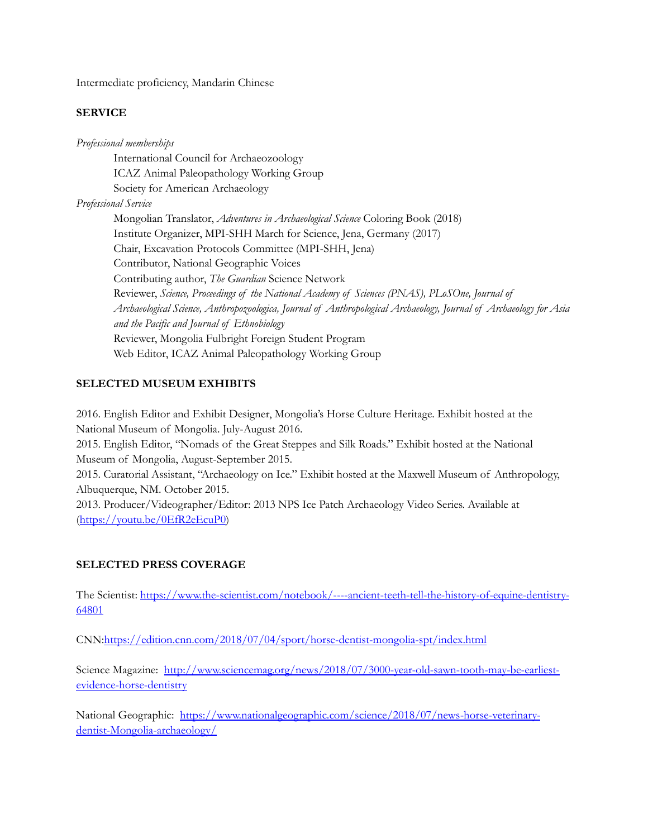Intermediate proficiency, Mandarin Chinese

## **SERVICE**

*Professional memberships* International Council for Archaeozoology ICAZ Animal Paleopathology Working Group Society for American Archaeology *Professional Service* Mongolian Translator, *Adventures in Archaeological Science* Coloring Book (2018) Institute Organizer, MPI-SHH March for Science, Jena, Germany (2017) Chair, Excavation Protocols Committee (MPI-SHH, Jena) Contributor, National Geographic Voices Contributing author, *The Guardian* Science Network Reviewer, *Science, Proceedings of the National Academy of Sciences (PNAS), PLoSOne, Journal of Archaeological Science, Anthropozoologica, Journal of Anthropological Archaeology, Journal of Archaeology for Asia and the Pacific and Journal of Ethnobiology* Reviewer, Mongolia Fulbright Foreign Student Program Web Editor, ICAZ Animal Paleopathology Working Group

# **SELECTED MUSEUM EXHIBITS**

2016. English Editor and Exhibit Designer, Mongolia's Horse Culture Heritage. Exhibit hosted at the National Museum of Mongolia. July-August 2016. 2015. English Editor, "Nomads of the Great Steppes and Silk Roads." Exhibit hosted at the National Museum of Mongolia, August-September 2015. 2015. Curatorial Assistant, "Archaeology on Ice." Exhibit hosted at the Maxwell Museum of Anthropology, Albuquerque, NM. October 2015. 2013. Producer/Videographer/Editor: 2013 NPS Ice Patch Archaeology Video Series. Available at [\(https://youtu.be/0EfR2eEcuP0\)](https://youtu.be/0EfR2eEcuP0)

# **SELECTED PRESS COVERAGE**

The Scientist: [https://www.the-scientist.com/notebook/----ancient-teeth-tell-the-history-of-equine-dentistry-](https://www.the-scientist.com/notebook/----ancient-teeth-tell-the-history-of-equine-dentistry-64801)[64801](https://www.the-scientist.com/notebook/----ancient-teeth-tell-the-history-of-equine-dentistry-64801)

CN[N:https://edition.cnn.com/2018/07/04/sport/horse-dentist-mongolia-spt/index.html](https://edition.cnn.com/2018/07/04/sport/horse-dentist-mongolia-spt/index.html)

Science Magazine: [http://www.sciencemag.org/news/2018/07/3000-year-old-sawn-tooth-may-be-earliest](http://www.sciencemag.org/news/2018/07/3000-year-old-sawn-tooth-may-be-earliest-evidence-horse-dentistry)[evidence-horse-dentistry](http://www.sciencemag.org/news/2018/07/3000-year-old-sawn-tooth-may-be-earliest-evidence-horse-dentistry)

National Geographic: [https://www.nationalgeographic.com/science/2018/07/news-horse-veterinary](https://www.nationalgeographic.com/science/2018/07/news-horse-veterinary-dentist-Mongolia-archaeology/)[dentist-Mongolia-archaeology/](https://www.nationalgeographic.com/science/2018/07/news-horse-veterinary-dentist-Mongolia-archaeology/)